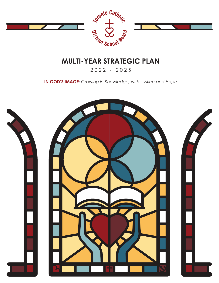

# **MULTI-YEAR STRATEGIC PLAN**

2022 - 2025

**IN GOD'S IMAGE:** *Growing in Knowledge, with Justice and Hope*

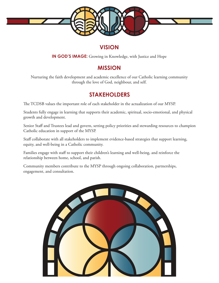

### **VISION**

**IN GOD'S IMAGE:** Growing in Knowledge, with Justice and Hope

## **MISSION**

Nurturing the faith development and academic excellence of our Catholic learning community through the love of God, neighbour, and self.

### **STAKEHOLDERS**

The TCDSB values the important role of each stakeholder in the actualization of our MYSP.

Students fully engage in learning that supports their academic, spiritual, socio-emotional, and physical growth and development.

Senior Staff and Trustees lead and govern, setting policy priorities and stewarding resources to champion Catholic education in support of the MYSP.

Staff collaborate with all stakeholders to implement evidence-based strategies that support learning, equity, and well-being in a Catholic community.

Families engage with staff to support their children's learning and well-being, and reinforce the relationship between home, school, and parish.

Community members contribute to the MYSP through ongoing collaboration, partnerships, engagement, and consultation.

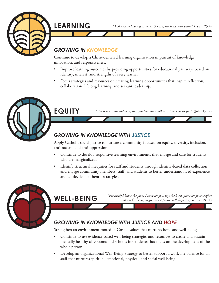

*"Make me to know your ways, O Lord; teach me your paths."* (Psalm 25:4)

#### *GROWING IN KNOWLEDGE*

**LEARNING**

Continue to develop a Christ-centered learning organization in pursuit of knowledge, innovation, and responsiveness.

- Improve learning outcomes by providing opportunities for educational pathways based on identity, interest, and strengths of every learner.
- Focus strategies and resources on creating learning opportunities that inspire reflection, collaboration, lifelong learning, and servant leadership.



*"This is my commandment, that you love one another as I have loved you."* (John 15:12)

#### *GROWING IN KNOWLEDGE WITH JUSTICE*

Apply Catholic social justice to nurture a community focused on equity, diversity, inclusion, anti-racism, and anti-oppression.

- Continue to develop responsive learning environments that engage and care for students who are marginalized.
- Identify structural inequities for staff and students through identity-based data collection and engage community members, staff, and students to better understand lived experience and co-develop authentic strategies.



### **WELL-BEING**

*"For surely I know the plans I have for you, says the Lord, plans for your welfare and not for harm, to give you a future with hope."* (Jeremiah 29:11)

## *GROWING IN KNOWLEDGE WITH JUSTICE AND HOPE*

Strengthen an environment rooted in Gospel values that nurtures hope and well-being.

- Continue to use evidence-based well-being strategies and resources to create and sustain mentally healthy classrooms and schools for students that focus on the development of the whole person.
- Develop an organizational Well-Being Strategy to better support a work-life balance for all staff that nurtures spiritual, emotional, physical, and social well-being.